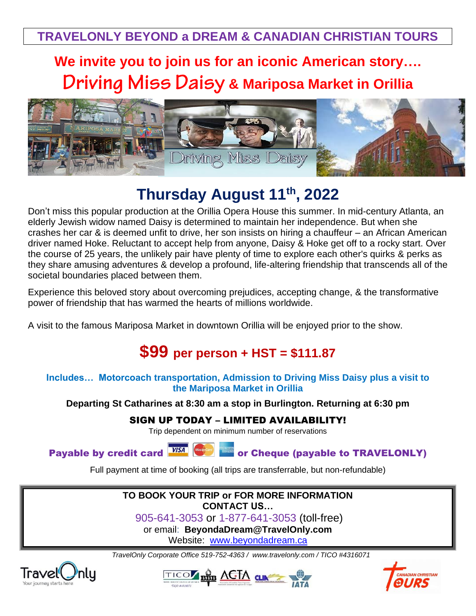**We invite you to join us for an iconic American story…. Driving Miss Daisy & Mariposa Market in Orillia** 



# **Thursday August 11th, 2022**

Don't miss this popular production at the Orillia Opera House this summer. In mid-century Atlanta, an elderly Jewish widow named Daisy is determined to maintain her independence. But when she crashes her car & is deemed unfit to drive, her son insists on hiring a chauffeur – an African American driver named Hoke. Reluctant to accept help from anyone, Daisy & Hoke get off to a rocky start. Over the course of 25 years, the unlikely pair have plenty of time to explore each other's quirks & perks as they share amusing adventures & develop a profound, life-altering friendship that transcends all of the societal boundaries placed between them.

Experience this beloved story about overcoming prejudices, accepting change, & the transformative power of friendship that has warmed the hearts of millions worldwide.

A visit to the famous Mariposa Market in downtown Orillia will be enjoyed prior to the show.

## **\$99 per person + HST = \$111.87**

#### **Includes… Motorcoach transportation, Admission to Driving Miss Daisy plus a visit to the Mariposa Market in Orillia**

**Departing St Catharines at 8:30 am a stop in Burlington. Returning at 6:30 pm**

### SIGN UP TODAY – LIMITED AVAILABILITY!

Trip dependent on minimum number of reservations

Payable by credit card **WSA WEB** or Cheque (payable to TRAVELONLY)

Full payment at time of booking (all trips are transferrable, but non-refundable)

#### **TO BOOK YOUR TRIP or FOR MORE INFORMATION CONTACT US…**

905-641-3053 or 1-877-641-3053 (toll-free)

or email: **BeyondaDream@TravelOnly.com**

Website: [www.beyondadream.ca](http://www.beyondadream.ca/)

*TravelOnly Corporate Office 519-752-4363 / [www.travelonly.com](http://www.travelonly.com/) / TICO #4316071*